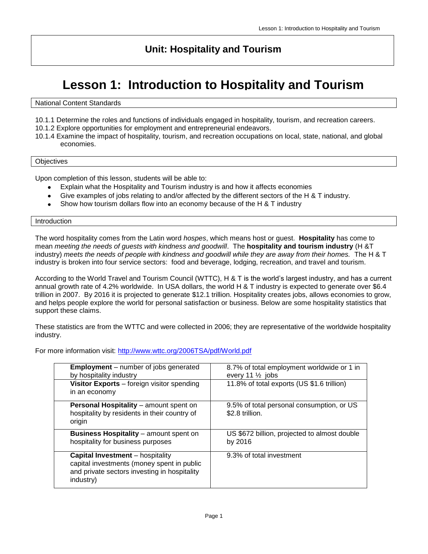### **Unit: Hospitality and Tourism**

## **Lesson 1: Introduction to Hospitality and Tourism**

Grade Level 10-12

#### National Content Standards

- 10.1.1 Determine the roles and functions of individuals engaged in hospitality, tourism, and recreation careers.
- 10.1.2 Explore opportunities for employment and entrepreneurial endeavors.
- 10.1.4 Examine the impact of hospitality, tourism, and recreation occupations on local, state, national, and global economies.

#### **Objectives**

Upon completion of this lesson, students will be able to:

- Explain what the Hospitality and Tourism industry is and how it affects economies
- $\bullet$ Give examples of jobs relating to and/or affected by the different sectors of the H & T industry.
- Show how tourism dollars flow into an economy because of the H & T industry

#### Introduction

The word hospitality comes from the Latin word *hospes*, which means host or guest. **Hospitality** has come to mean *meeting the needs of guests with kindness and goodwill*. The **hospitality and tourism industry** (H &T industry) *meets the needs of people with kindness and goodwill while they are away from their homes.* The H & T industry is broken into four service sectors: food and beverage, lodging, recreation, and travel and tourism.

According to the World Travel and Tourism Council (WTTC), H & T is the world's largest industry, and has a current annual growth rate of 4.2% worldwide. In USA dollars, the world H & T industry is expected to generate over \$6.4 trillion in 2007. By 2016 it is projected to generate \$12.1 trillion. Hospitality creates jobs, allows economies to grow, and helps people explore the world for personal satisfaction or business. Below are some hospitality statistics that support these claims.

These statistics are from the WTTC and were collected in 2006; they are representative of the worldwide hospitality industry.

For more information visit:<http://www.wttc.org/2006TSA/pdf/World.pdf>

| <b>Employment</b> – number of jobs generated<br>by hospitality industry                                                                            | 8.7% of total employment worldwide or 1 in<br>every 11 $\frac{1}{2}$ jobs |
|----------------------------------------------------------------------------------------------------------------------------------------------------|---------------------------------------------------------------------------|
| Visitor Exports - foreign visitor spending<br>in an economy                                                                                        | 11.8% of total exports (US \$1.6 trillion)                                |
| Personal Hospitality - amount spent on<br>hospitality by residents in their country of<br>origin                                                   | 9.5% of total personal consumption, or US<br>\$2.8 trillion.              |
| <b>Business Hospitality</b> - amount spent on<br>hospitality for business purposes                                                                 | US \$672 billion, projected to almost double<br>by 2016                   |
| <b>Capital Investment</b> – hospitality<br>capital investments (money spent in public<br>and private sectors investing in hospitality<br>industry) | 9.3% of total investment                                                  |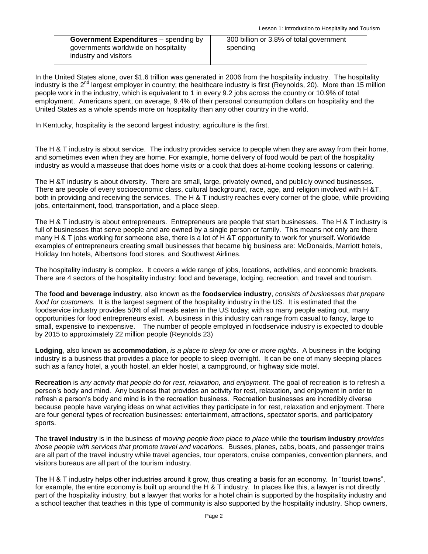**Government Expenditures** – spending by governments worldwide on hospitality industry and visitors

In the United States alone, over \$1.6 trillion was generated in 2006 from the hospitality industry. The hospitality industry is the 2<sup>nd</sup> largest employer in country; the healthcare industry is first (Reynolds, 20). More than 15 million people work in the industry, which is equivalent to 1 in every 9.2 jobs across the country or 10.9% of total employment. Americans spent, on average, 9.4% of their personal consumption dollars on hospitality and the United States as a whole spends more on hospitality than any other country in the world.

In Kentucky, hospitality is the second largest industry; agriculture is the first.

The H & T industry is about service. The industry provides service to people when they are away from their home, and sometimes even when they are home. For example, home delivery of food would be part of the hospitality industry as would a masseuse that does home visits or a cook that does at-home cooking lessons or catering.

The H &T industry is about diversity. There are small, large, privately owned, and publicly owned businesses. There are people of every socioeconomic class, cultural background, race, age, and religion involved with H &T, both in providing and receiving the services. The H & T industry reaches every corner of the globe, while providing jobs, entertainment, food, transportation, and a place sleep.

The H & T industry is about entrepreneurs. Entrepreneurs are people that start businesses. The H & T industry is full of businesses that serve people and are owned by a single person or family. This means not only are there many H & T jobs working for someone else, there is a lot of H &T opportunity to work for yourself. Worldwide examples of entrepreneurs creating small businesses that became big business are: McDonalds, Marriott hotels, Holiday Inn hotels, Albertsons food stores, and Southwest Airlines.

The hospitality industry is complex. It covers a wide range of jobs, locations, activities, and economic brackets. There are 4 sectors of the hospitality industry: food and beverage, lodging, recreation, and travel and tourism.

The **food and beverage industry**, also known as the **foodservice industry**, *consists of businesses that prepare food for customers.* It is the largest segment of the hospitality industry in the US. It is estimated that the foodservice industry provides 50% of all meals eaten in the US today; with so many people eating out, many opportunities for food entrepreneurs exist. A business in this industry can range from casual to fancy, large to small, expensive to inexpensive. The number of people employed in foodservice industry is expected to double by 2015 to approximately 22 million people (Reynolds 23)

**Lodging**, also known as **accommodation**, *is a place to sleep for one or more nights*. A business in the lodging industry is a business that provides a place for people to sleep overnight. It can be one of many sleeping places such as a fancy hotel, a youth hostel, an elder hostel, a campground, or highway side motel.

**Recreation** is *any activity that people do for rest, relaxation, and enjoyment.* The goal of recreation is to refresh a person's body and mind. Any business that provides an activity for rest, relaxation, and enjoyment in order to refresh a person's body and mind is in the recreation business. Recreation businesses are incredibly diverse because people have varying ideas on what activities they participate in for rest, relaxation and enjoyment. There are four general types of recreation businesses: entertainment, attractions, spectator sports, and participatory sports.

The **travel industry** is in the business of *moving people from place to place* while the **tourism industry** *provides those people with services that promote travel and vacations.* Busses, planes, cabs, boats, and passenger trains are all part of the travel industry while travel agencies, tour operators, cruise companies, convention planners, and visitors bureaus are all part of the tourism industry.

The H & T industry helps other industries around it grow, thus creating a basis for an economy. In "tourist towns", for example, the entire economy is built up around the H & T industry. In places like this, a lawyer is not directly part of the hospitality industry, but a lawyer that works for a hotel chain is supported by the hospitality industry and a school teacher that teaches in this type of community is also supported by the hospitality industry. Shop owners,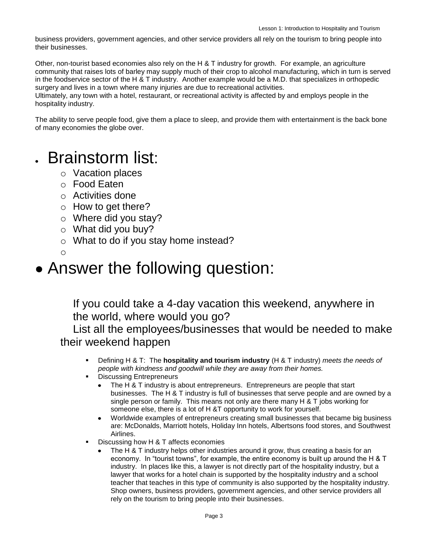business providers, government agencies, and other service providers all rely on the tourism to bring people into their businesses.

Other, non-tourist based economies also rely on the H & T industry for growth. For example, an agriculture community that raises lots of barley may supply much of their crop to alcohol manufacturing, which in turn is served in the foodservice sector of the H & T industry. Another example would be a M.D. that specializes in orthopedic surgery and lives in a town where many injuries are due to recreational activities.

Ultimately, any town with a hotel, restaurant, or recreational activity is affected by and employs people in the hospitality industry.

The ability to serve people food, give them a place to sleep, and provide them with entertainment is the back bone of many economies the globe over.

# Brainstorm list:

- o Vacation places
- o Food Eaten
- $\circ$  Activities done
- o How to get there?
- o Where did you stay?
- o What did you buy?
- o What to do if you stay home instead?
- $\Omega$

# • Answer the following question:

If you could take a 4-day vacation this weekend, anywhere in the world, where would you go?

List all the employees/businesses that would be needed to make their weekend happen

- Defining H & T: The **hospitality and tourism industry** (H & T industry) *meets the needs of people with kindness and goodwill while they are away from their homes.*
- Discussing Entrepreneurs
	- The H & T industry is about entrepreneurs. Entrepreneurs are people that start businesses. The H & T industry is full of businesses that serve people and are owned by a single person or family. This means not only are there many H & T jobs working for someone else, there is a lot of H &T opportunity to work for yourself.
	- Worldwide examples of entrepreneurs creating small businesses that became big business  $\bullet$ are: McDonalds, Marriott hotels, Holiday Inn hotels, Albertsons food stores, and Southwest Airlines.
- Discussing how H & T affects economies
	- The H & T industry helps other industries around it grow, thus creating a basis for an economy. In "tourist towns", for example, the entire economy is built up around the H & T industry. In places like this, a lawyer is not directly part of the hospitality industry, but a lawyer that works for a hotel chain is supported by the hospitality industry and a school teacher that teaches in this type of community is also supported by the hospitality industry. Shop owners, business providers, government agencies, and other service providers all rely on the tourism to bring people into their businesses.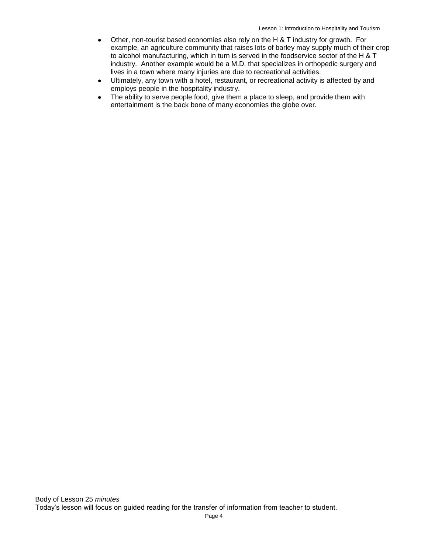- Other, non-tourist based economies also rely on the H & T industry for growth. For example, an agriculture community that raises lots of barley may supply much of their crop to alcohol manufacturing, which in turn is served in the foodservice sector of the H & T industry. Another example would be a M.D. that specializes in orthopedic surgery and lives in a town where many injuries are due to recreational activities.
- Ultimately, any town with a hotel, restaurant, or recreational activity is affected by and  $\bullet$ employs people in the hospitality industry.
- The ability to serve people food, give them a place to sleep, and provide them with entertainment is the back bone of many economies the globe over.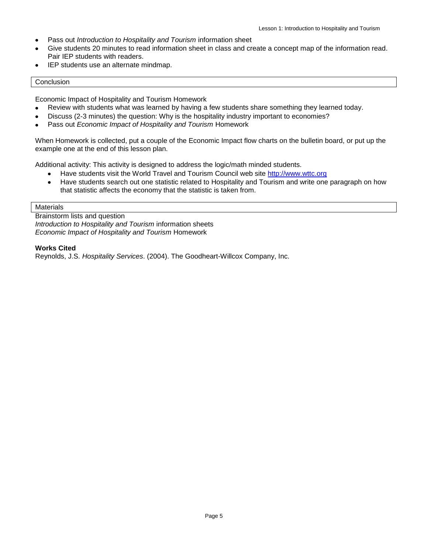- Pass out *Introduction to Hospitality and Tourism* information sheet
- Give students 20 minutes to read information sheet in class and create a concept map of the information read. Pair IEP students with readers.
- IEP students use an alternate mindmap.

#### Conclusion

Economic Impact of Hospitality and Tourism Homework

- Review with students what was learned by having a few students share something they learned today.
- Discuss (2-3 minutes) the question: Why is the hospitality industry important to economies?
- Pass out *Economic Impact of Hospitality and Tourism* Homework

When Homework is collected, put a couple of the Economic Impact flow charts on the bulletin board, or put up the example one at the end of this lesson plan.

Additional activity: This activity is designed to address the logic/math minded students.

- Have students visit the World Travel and Tourism Council web site [http://www.wttc.org](http://www.wttc.org/)  $\bullet$
- Have students search out one statistic related to Hospitality and Tourism and write one paragraph on how  $\bullet$ that statistic affects the economy that the statistic is taken from.

#### **Materials**

Brainstorm lists and question *Introduction to Hospitality and Tourism* information sheets *Economic Impact of Hospitality and Tourism* Homework

#### **Works Cited**

Reynolds, J.S. *Hospitality Services*. (2004). The Goodheart-Willcox Company, Inc.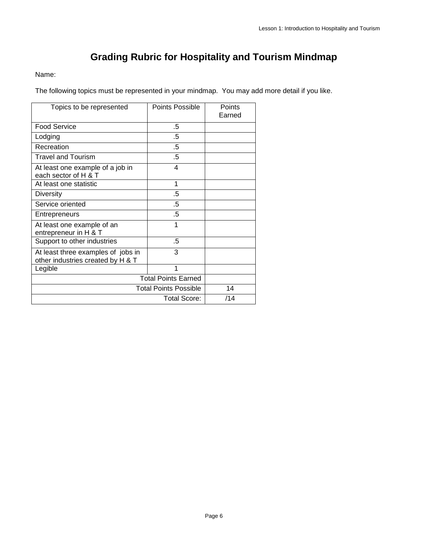## **Grading Rubric for Hospitality and Tourism Mindmap**

#### Name:

The following topics must be represented in your mindmap. You may add more detail if you like.

| Topics to be represented                                                | Points Possible | Points<br>Earned |
|-------------------------------------------------------------------------|-----------------|------------------|
| <b>Food Service</b>                                                     | .5              |                  |
| Lodging                                                                 | .5              |                  |
| Recreation                                                              | .5              |                  |
| <b>Travel and Tourism</b>                                               | .5              |                  |
| At least one example of a job in<br>each sector of H & T                | 4               |                  |
| At least one statistic                                                  | 1               |                  |
| <b>Diversity</b>                                                        | .5              |                  |
| Service oriented                                                        | .5              |                  |
| Entrepreneurs                                                           | .5              |                  |
| At least one example of an<br>entrepreneur in H & T                     | 1               |                  |
| Support to other industries                                             | .5              |                  |
| At least three examples of jobs in<br>other industries created by H & T | 3               |                  |
| Legible                                                                 | 1               |                  |
| <b>Total Points Earned</b>                                              |                 |                  |
| <b>Total Points Possible</b>                                            |                 | 14               |
| Total Score:                                                            |                 | /14              |